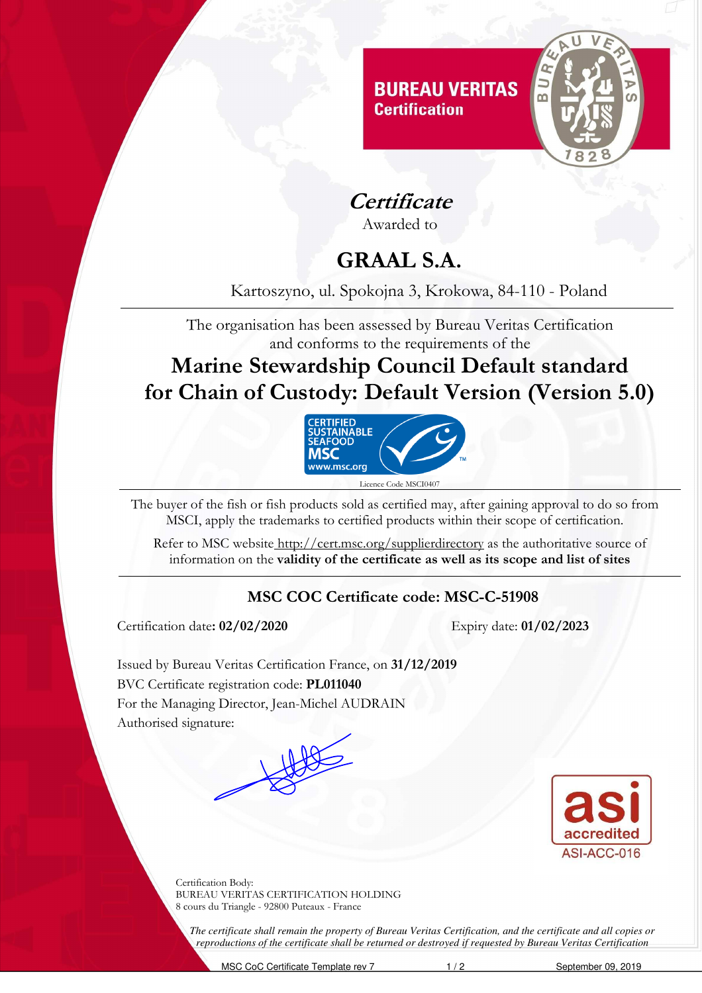

**Certificate**

Awarded to

# **GRAAL S.A.**

Kartoszyno, ul. Spokojna 3, Krokowa, 84-110 - Poland

The organisation has been assessed by Bureau Veritas Certification and conforms to the requirements of the

**Marine Stewardship Council Default standard for Chain of Custody: Default Version (Version 5.0)**



The buyer of the fish or fish products sold as certified may, after gaining approval to do so from MSCI, apply the trademarks to certified products within their scope of certification.

Refer to MSC website http://cert.msc.org/supplierdirectory as the authoritative source of information on the **validity of the certificate as well as its scope and list of sites** 

#### **MSC COC Certificate code: MSC-C-51908**

Certification date**: 02/02/2020** Expiry date: **01/02/2023** 

Issued by Bureau Veritas Certification France, on **31/12/2019**  BVC Certificate registration code: **PL011040** For the Managing Director, Jean-Michel AUDRAIN Authorised signature:



Certification Body: BUREAU VERITAS CERTIFICATION HOLDING 8 cours du Triangle - 92800 Puteaux - France

*The certificate shall remain the property of Bureau Veritas Certification, and the certificate and all copies or reproductions of the certificate shall be returned or destroyed if requested by Bureau Veritas Certification*